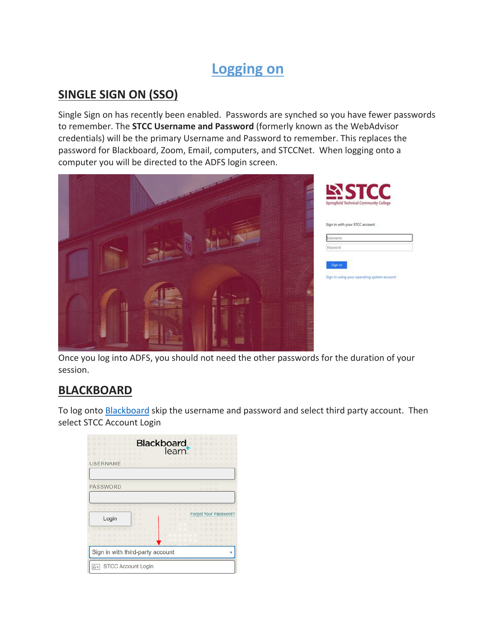# **Logging on**

#### **SINGLE SIGN ON (SSO)**

Single Sign on has recently been enabled. Passwords are synched so you have fewer passwords to remember. The **STCC Username and Password** (formerly known as the WebAdvisor credentials) will be the primary Username and Password to remember. This replaces the password for Blackboard, Zoom, Email, computers, and STCCNet. When logging onto a computer you will be directed to the ADFS login screen.



Once you log into ADFS, you should not need the other passwords for the duration of your session.

## **BLACKBOARD**

To log onto [Blackboard](https://stcc.blackboard.com/) skip the username and password and select third party account. Then select STCC Account Login

|                                  | <b>Blackboard</b><br>learn |
|----------------------------------|----------------------------|
| <b>USERNAME</b>                  |                            |
| PASSWORD                         |                            |
| Login                            | Forgot Your Password?      |
| Sign in with third-party account |                            |
| STCC Account Login<br>$8 =$      |                            |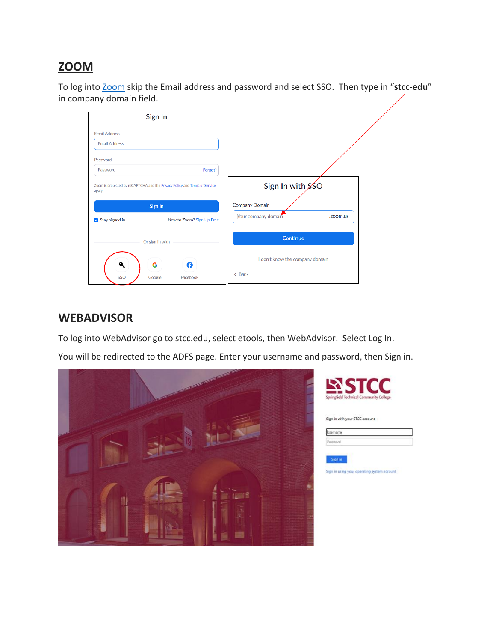### **ZOOM**

To log into [Zoom](https://zoom.us/) skip the Email address and password and select SSO. Then type in "**stcc-edu**" in company domain field.

|                      | Sign In                                                                    |                                 |
|----------------------|----------------------------------------------------------------------------|---------------------------------|
| <b>Email Address</b> |                                                                            |                                 |
| <b>Email Address</b> |                                                                            |                                 |
| Password             |                                                                            |                                 |
| Password             | Forgot?                                                                    |                                 |
| apply.               | Zoom is protected by reCAPTCHA and the Privacy Policy and Terms of Service | Sign In with SSO                |
|                      | Sign In                                                                    | Company Domain                  |
| Stay signed in       | New to Zoom? Sign Up Free                                                  | Nour company domain<br>.zoom.us |
|                      | Or sign in with                                                            | Continue                        |
|                      | G<br>A                                                                     | I don't know the company domain |
| SSO                  | Google<br>Facebook                                                         | < Back                          |

#### **WEBADVISOR**

To log into WebAdvisor go to stcc.edu, select etools, then WebAdvisor. Select Log In.

You will be redirected to the ADFS page. Enter your username and password, then Sign in.



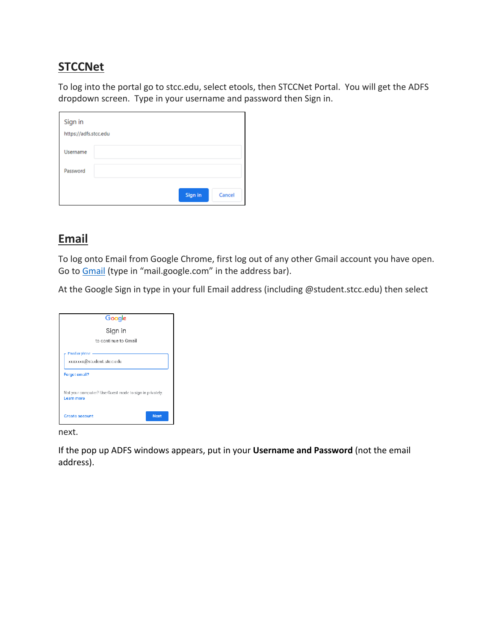### **STCCNet**

To log into the portal go to stcc.edu, select etools, then STCCNet Portal. You will get the ADFS dropdown screen. Type in your username and password then Sign in.

| Sign in               |  |         |        |
|-----------------------|--|---------|--------|
| https://adfs.stcc.edu |  |         |        |
| Username              |  |         |        |
| Password              |  |         |        |
|                       |  | Sign in | Cancel |

## **Email**

To log onto Email from Google Chrome, first log out of any other Gmail account you have open. Go to [Gmail](https://accounts.google.com/signin/v2/identifier?service=mail&passive=true&rm=false&continue=https%3A%2F%2Fmail.google.com%2Fmail%2F&ss=1&scc=1<mpl=default<mplcache=2&emr=1&osid=1&flowName=GlifWebSignIn&flowEntry=ServiceLogin) (type in "mail.google.com" in the address bar).

At the Google Sign in type in your full Email address (including @student.stcc.edu) then select

| Google                                                                |  |  |  |
|-----------------------------------------------------------------------|--|--|--|
| Sign in                                                               |  |  |  |
| to continue to Gmail                                                  |  |  |  |
| Fmail or phone -<br>xxxxxx@student.stcc.edu                           |  |  |  |
| Forgot email?                                                         |  |  |  |
| Not your computer? Use Guest mode to sign in privately.<br>Learn more |  |  |  |
| Next<br>Create account                                                |  |  |  |

next.

If the pop up ADFS windows appears, put in your **Username and Password** (not the email address).